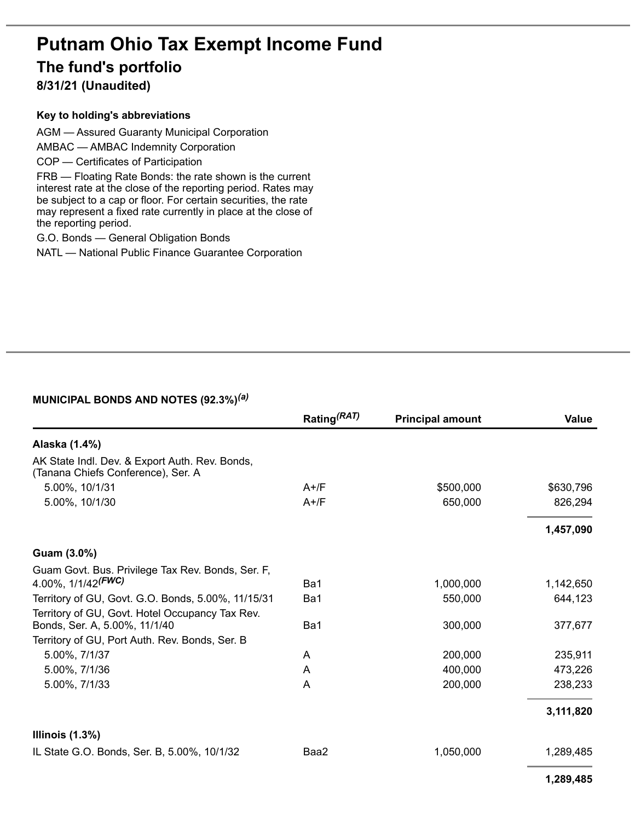# **Putnam Ohio Tax Exempt Income Fund The fund's portfolio**

**8/31/21 (Unaudited)**

#### **Key to holding's abbreviations**

AGM — Assured Guaranty Municipal Corporation

AMBAC — AMBAC Indemnity Corporation

COP — Certificates of Participation

FRB — Floating Rate Bonds: the rate shown is the current interest rate at the close of the reporting period. Rates may be subject to a cap or floor. For certain securities, the rate may represent a fixed rate currently in place at the close of the reporting period.

G.O. Bonds — General Obligation Bonds

NATL — National Public Finance Guarantee Corporation

#### **MUNICIPAL BONDS AND NOTES (92.3%)** *(a)*

|                                                                                      | Rating <sup>(RAT)</sup> | <b>Principal amount</b> | Value     |
|--------------------------------------------------------------------------------------|-------------------------|-------------------------|-----------|
| Alaska (1.4%)                                                                        |                         |                         |           |
| AK State Indl. Dev. & Export Auth. Rev. Bonds,<br>(Tanana Chiefs Conference), Ser. A |                         |                         |           |
| 5.00%, 10/1/31                                                                       | $A+$ /F                 | \$500,000               | \$630,796 |
| 5.00%, 10/1/30                                                                       | $A+$ /F                 | 650,000                 | 826,294   |
|                                                                                      |                         |                         | 1,457,090 |
| Guam (3.0%)                                                                          |                         |                         |           |
| Guam Govt. Bus. Privilege Tax Rev. Bonds, Ser. F,                                    |                         |                         |           |
| 4.00%, $1/1/42$ <sup>(FWC)</sup>                                                     | Ba1                     | 1,000,000               | 1,142,650 |
| Territory of GU, Govt. G.O. Bonds, 5.00%, 11/15/31                                   | Ba1                     | 550,000                 | 644,123   |
| Territory of GU, Govt. Hotel Occupancy Tax Rev.<br>Bonds, Ser. A, 5.00%, 11/1/40     | Ba1                     | 300,000                 | 377,677   |
| Territory of GU, Port Auth. Rev. Bonds, Ser. B                                       |                         |                         |           |
| 5.00%, 7/1/37                                                                        | A                       | 200,000                 | 235,911   |
| 5.00%, 7/1/36                                                                        | A                       | 400,000                 | 473,226   |
| 5.00%, 7/1/33                                                                        | A                       | 200,000                 | 238,233   |
|                                                                                      |                         |                         | 3,111,820 |
| Illinois $(1.3\%)$                                                                   |                         |                         |           |
| IL State G.O. Bonds, Ser. B, 5.00%, 10/1/32                                          | Baa2                    | 1,050,000               | 1,289,485 |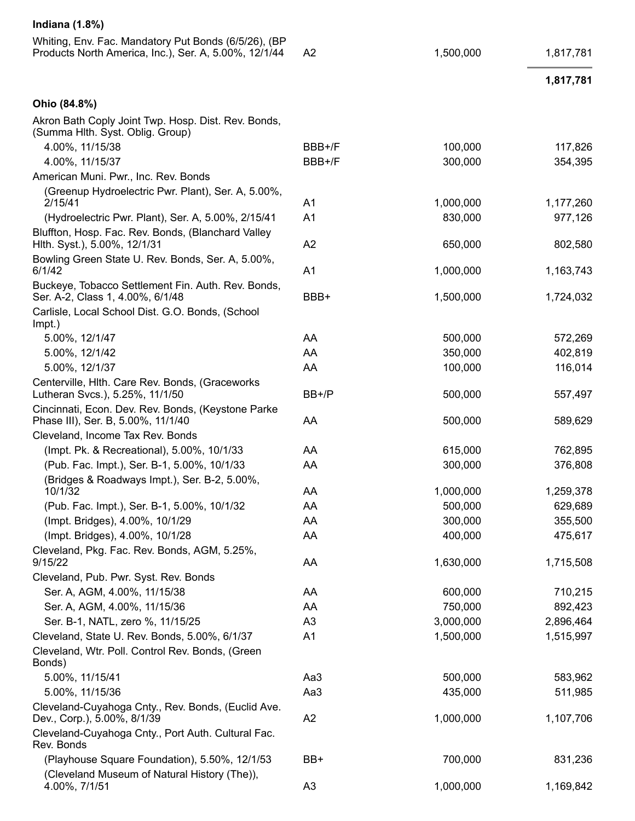| <b>Indiana</b> (1.8%)                                                                                         |                |                      |                      |
|---------------------------------------------------------------------------------------------------------------|----------------|----------------------|----------------------|
| Whiting, Env. Fac. Mandatory Put Bonds (6/5/26), (BP<br>Products North America, Inc.), Ser. A, 5.00%, 12/1/44 | A <sub>2</sub> | 1,500,000            | 1,817,781            |
|                                                                                                               |                |                      | 1,817,781            |
| Ohio (84.8%)                                                                                                  |                |                      |                      |
| Akron Bath Coply Joint Twp. Hosp. Dist. Rev. Bonds,<br>(Summa Hith. Syst. Oblig. Group)                       |                |                      |                      |
| 4.00%, 11/15/38                                                                                               | BBB+/F         | 100,000              | 117,826              |
| 4.00%, 11/15/37                                                                                               | BBB+/F         | 300,000              | 354,395              |
| American Muni. Pwr., Inc. Rev. Bonds                                                                          |                |                      |                      |
| (Greenup Hydroelectric Pwr. Plant), Ser. A, 5.00%,<br>2/15/41                                                 | A <sub>1</sub> | 1,000,000            | 1,177,260            |
| (Hydroelectric Pwr. Plant), Ser. A, 5.00%, 2/15/41                                                            | A <sub>1</sub> | 830,000              | 977,126              |
| Bluffton, Hosp. Fac. Rev. Bonds, (Blanchard Valley<br>Hith. Syst.), 5.00%, 12/1/31                            | A2             | 650,000              | 802,580              |
| Bowling Green State U. Rev. Bonds, Ser. A, 5.00%,<br>6/1/42                                                   | A <sub>1</sub> | 1,000,000            | 1,163,743            |
| Buckeye, Tobacco Settlement Fin. Auth. Rev. Bonds,<br>Ser. A-2, Class 1, 4.00%, 6/1/48                        | BBB+           | 1,500,000            | 1,724,032            |
| Carlisle, Local School Dist. G.O. Bonds, (School<br>Impt.)                                                    |                |                      |                      |
| 5.00%, 12/1/47                                                                                                | AA             | 500,000              | 572,269              |
| 5.00%, 12/1/42                                                                                                | AA             | 350,000              | 402,819              |
| 5.00%, 12/1/37                                                                                                | AA             | 100,000              | 116,014              |
| Centerville, Hlth. Care Rev. Bonds, (Graceworks<br>Lutheran Svcs.), 5.25%, 11/1/50                            | BB+/P          | 500,000              | 557,497              |
| Cincinnati, Econ. Dev. Rev. Bonds, (Keystone Parke<br>Phase III), Ser. B, 5.00%, 11/1/40                      | AA             | 500,000              | 589,629              |
| Cleveland, Income Tax Rev. Bonds                                                                              |                |                      |                      |
| (Impt. Pk. & Recreational), 5.00%, 10/1/33                                                                    | AA             | 615,000              | 762,895              |
| (Pub. Fac. Impt.), Ser. B-1, 5.00%, 10/1/33                                                                   | AA             | 300,000              | 376,808              |
| (Bridges & Roadways Impt.), Ser. B-2, 5.00%,                                                                  |                |                      |                      |
| 10/1/32                                                                                                       | AA<br>AA       | 1,000,000<br>500,000 | 1,259,378<br>629,689 |
| (Pub. Fac. Impt.), Ser. B-1, 5.00%, 10/1/32<br>(Impt. Bridges), 4.00%, 10/1/29                                | AA             | 300,000              | 355,500              |
| (Impt. Bridges), 4.00%, 10/1/28                                                                               | AA             | 400,000              | 475,617              |
| Cleveland, Pkg. Fac. Rev. Bonds, AGM, 5.25%,                                                                  |                |                      |                      |
| 9/15/22                                                                                                       | AA             | 1,630,000            | 1,715,508            |
| Cleveland, Pub. Pwr. Syst. Rev. Bonds                                                                         |                |                      |                      |
| Ser. A, AGM, 4.00%, 11/15/38                                                                                  | AA             | 600,000              | 710,215              |
| Ser. A, AGM, 4.00%, 11/15/36                                                                                  | AA             | 750,000              | 892,423              |
| Ser. B-1, NATL, zero %, 11/15/25                                                                              | A <sub>3</sub> | 3,000,000            | 2,896,464            |
| Cleveland, State U. Rev. Bonds, 5.00%, 6/1/37                                                                 | A <sub>1</sub> | 1,500,000            | 1,515,997            |
| Cleveland, Wtr. Poll. Control Rev. Bonds, (Green<br>Bonds)                                                    |                |                      |                      |
| 5.00%, 11/15/41                                                                                               | Aa3            | 500,000              | 583,962              |
| 5.00%, 11/15/36                                                                                               | Aa3            | 435,000              | 511,985              |
| Cleveland-Cuyahoga Cnty., Rev. Bonds, (Euclid Ave.<br>Dev., Corp.), 5.00%, 8/1/39                             | A2             | 1,000,000            | 1,107,706            |
| Cleveland-Cuyahoga Cnty., Port Auth. Cultural Fac.<br>Rev. Bonds                                              |                |                      |                      |
| (Playhouse Square Foundation), 5.50%, 12/1/53<br>(Cleveland Museum of Natural History (The)),                 | BB+            | 700,000              | 831,236              |
| 4.00%, 7/1/51                                                                                                 | A3             | 1,000,000            | 1,169,842            |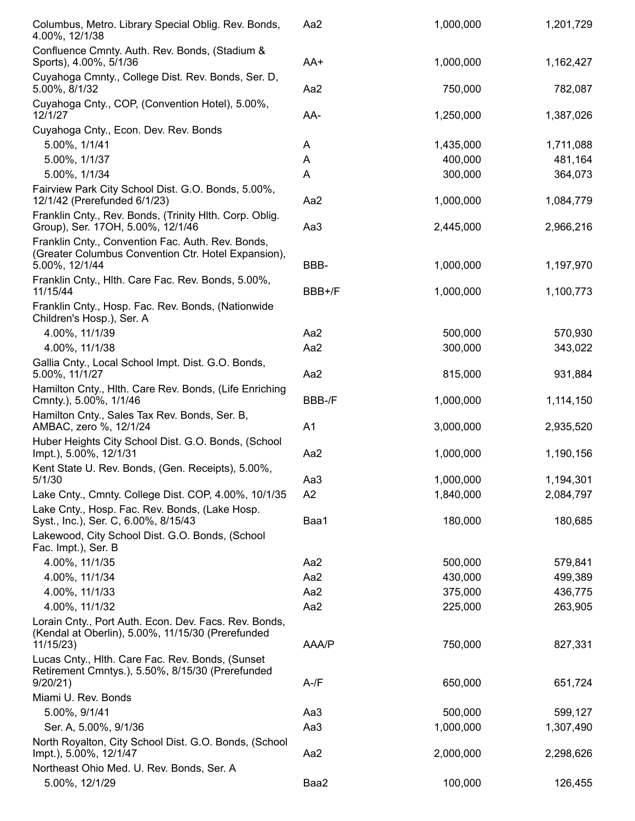| Columbus, Metro. Library Special Oblig. Rev. Bonds,<br>4.00%, 12/1/38                                           | Aa2            | 1,000,000 | 1,201,729 |
|-----------------------------------------------------------------------------------------------------------------|----------------|-----------|-----------|
| Confluence Cmnty. Auth. Rev. Bonds, (Stadium &<br>Sports), 4.00%, 5/1/36                                        | AA+            | 1,000,000 | 1,162,427 |
| Cuyahoga Cmnty., College Dist. Rev. Bonds, Ser. D,<br>5.00%, 8/1/32                                             | Aa2            | 750,000   | 782,087   |
| Cuyahoga Cnty., COP, (Convention Hotel), 5.00%,<br>12/1/27                                                      | AA-            | 1,250,000 | 1,387,026 |
| Cuyahoga Cnty., Econ. Dev. Rev. Bonds                                                                           |                |           |           |
| 5.00%, 1/1/41                                                                                                   | A              | 1,435,000 | 1,711,088 |
| 5.00%, 1/1/37                                                                                                   | A              | 400,000   | 481,164   |
| 5.00%, 1/1/34                                                                                                   | A              | 300,000   | 364,073   |
| Fairview Park City School Dist. G.O. Bonds, 5.00%,<br>12/1/42 (Prerefunded 6/1/23)                              | Aa2            | 1,000,000 | 1,084,779 |
| Franklin Cnty., Rev. Bonds, (Trinity Hlth. Corp. Oblig.<br>Group), Ser. 17OH, 5.00%, 12/1/46                    | Aa3            | 2,445,000 | 2,966,216 |
| Franklin Cnty., Convention Fac. Auth. Rev. Bonds,<br>(Greater Columbus Convention Ctr. Hotel Expansion),        |                |           |           |
| 5.00%, 12/1/44                                                                                                  | BBB-           | 1,000,000 | 1,197,970 |
| Franklin Cnty., Hith. Care Fac. Rev. Bonds, 5.00%,<br>11/15/44                                                  | BBB+/F         | 1,000,000 | 1,100,773 |
| Franklin Cnty., Hosp. Fac. Rev. Bonds, (Nationwide<br>Children's Hosp.), Ser. A                                 |                |           |           |
| 4.00%, 11/1/39                                                                                                  | Aa2            | 500,000   | 570,930   |
| 4.00%, 11/1/38                                                                                                  | Aa2            | 300,000   | 343,022   |
| Gallia Cnty., Local School Impt. Dist. G.O. Bonds,<br>5.00%, 11/1/27                                            | Aa2            | 815,000   | 931,884   |
| Hamilton Cnty., Hlth. Care Rev. Bonds, (Life Enriching<br>Cmnty.), 5.00%, 1/1/46                                | BBB-/F         | 1,000,000 | 1,114,150 |
| Hamilton Cnty., Sales Tax Rev. Bonds, Ser. B,<br>AMBAC, zero %, 12/1/24                                         | A <sub>1</sub> | 3,000,000 | 2,935,520 |
| Huber Heights City School Dist. G.O. Bonds, (School<br>Impt.), 5.00%, 12/1/31                                   | Aa2            | 1,000,000 | 1,190,156 |
| Kent State U. Rev. Bonds, (Gen. Receipts), 5.00%,                                                               |                |           |           |
| 5/1/30                                                                                                          | Aa3            | 1,000,000 | 1,194,301 |
| Lake Cnty., Cmnty. College Dist. COP, 4.00%, 10/1/35                                                            | A2             | 1,840,000 | 2,084,797 |
| Lake Cnty., Hosp. Fac. Rev. Bonds, (Lake Hosp.<br>Syst., Inc.), Ser. C, 6.00%, 8/15/43                          | Baa1           | 180,000   | 180,685   |
| Lakewood, City School Dist. G.O. Bonds, (School<br>Fac. Impt.), Ser. B                                          |                |           |           |
| 4.00%, 11/1/35                                                                                                  | Aa2            | 500,000   | 579,841   |
| 4.00%, 11/1/34                                                                                                  | Aa2            | 430,000   | 499,389   |
| 4.00%, 11/1/33                                                                                                  | Aa2            | 375,000   | 436,775   |
| 4.00%, 11/1/32                                                                                                  | Aa2            | 225,000   | 263,905   |
| Lorain Cnty., Port Auth. Econ. Dev. Facs. Rev. Bonds,<br>(Kendal at Oberlin), 5.00%, 11/15/30 (Prerefunded      |                |           |           |
| 11/15/23                                                                                                        | AAA/P          | 750,000   | 827,331   |
| Lucas Cnty., Hlth. Care Fac. Rev. Bonds, (Sunset<br>Retirement Cmntys.), 5.50%, 8/15/30 (Prerefunded<br>9/20/21 | $A-fF$         | 650,000   | 651,724   |
| Miami U. Rev. Bonds                                                                                             |                |           |           |
| 5.00%, 9/1/41                                                                                                   | Aa3            | 500,000   | 599,127   |
| Ser. A, 5.00%, 9/1/36                                                                                           | Aa3            | 1,000,000 | 1,307,490 |
| North Royalton, City School Dist. G.O. Bonds, (School                                                           |                |           |           |
| Impt.), 5.00%, 12/1/47<br>Northeast Ohio Med. U. Rev. Bonds, Ser. A                                             | Aa2            | 2,000,000 | 2,298,626 |
| 5.00%, 12/1/29                                                                                                  | Baa2           | 100,000   | 126,455   |
|                                                                                                                 |                |           |           |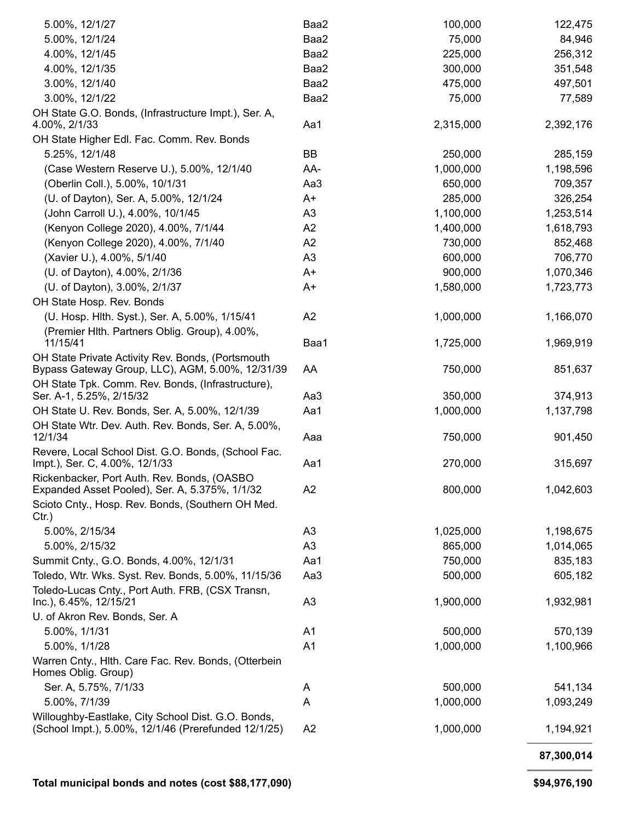| 5.00%, 12/1/27                                                                                        | Baa2           | 100,000   | 122,475    |
|-------------------------------------------------------------------------------------------------------|----------------|-----------|------------|
| 5.00%, 12/1/24                                                                                        | Baa2           | 75,000    | 84,946     |
| 4.00%, 12/1/45                                                                                        | Baa2           | 225,000   | 256,312    |
| 4.00%, 12/1/35                                                                                        | Baa2           | 300,000   | 351,548    |
| 3.00%, 12/1/40                                                                                        | Baa2           | 475,000   | 497,501    |
| 3.00%, 12/1/22                                                                                        | Baa2           | 75,000    | 77,589     |
| OH State G.O. Bonds, (Infrastructure Impt.), Ser. A,<br>4.00%, 2/1/33                                 | Aa1            | 2,315,000 | 2,392,176  |
| OH State Higher Edl. Fac. Comm. Rev. Bonds                                                            |                |           |            |
| 5.25%, 12/1/48                                                                                        | BB             | 250,000   | 285,159    |
| (Case Western Reserve U.), 5.00%, 12/1/40                                                             | AA-            | 1,000,000 | 1,198,596  |
| (Oberlin Coll.), 5.00%, 10/1/31                                                                       | Aa3            | 650,000   | 709,357    |
| (U. of Dayton), Ser. A, 5.00%, 12/1/24                                                                | A+             | 285,000   | 326,254    |
| (John Carroll U.), 4.00%, 10/1/45                                                                     | A <sub>3</sub> | 1,100,000 | 1,253,514  |
| (Kenyon College 2020), 4.00%, 7/1/44                                                                  | A <sub>2</sub> | 1,400,000 | 1,618,793  |
| (Kenyon College 2020), 4.00%, 7/1/40                                                                  | A <sub>2</sub> | 730,000   | 852,468    |
| (Xavier U.), 4.00%, 5/1/40                                                                            | A <sub>3</sub> | 600,000   | 706,770    |
| (U. of Dayton), 4.00%, 2/1/36                                                                         | A+             | 900,000   | 1,070,346  |
| (U. of Dayton), 3.00%, 2/1/37                                                                         | A+             | 1,580,000 | 1,723,773  |
| OH State Hosp. Rev. Bonds                                                                             |                |           |            |
| (U. Hosp. Hith. Syst.), Ser. A, 5.00%, 1/15/41                                                        | A <sub>2</sub> | 1,000,000 | 1,166,070  |
| (Premier Hlth. Partners Oblig. Group), 4.00%,<br>11/15/41                                             | Baa1           | 1,725,000 | 1,969,919  |
| OH State Private Activity Rev. Bonds, (Portsmouth                                                     |                |           |            |
| Bypass Gateway Group, LLC), AGM, 5.00%, 12/31/39<br>OH State Tpk. Comm. Rev. Bonds, (Infrastructure), | AA             | 750,000   | 851,637    |
| Ser. A-1, 5.25%, 2/15/32                                                                              | Aa3            | 350,000   | 374,913    |
| OH State U. Rev. Bonds, Ser. A, 5.00%, 12/1/39                                                        | Aa1            | 1,000,000 | 1,137,798  |
| OH State Wtr. Dev. Auth. Rev. Bonds, Ser. A, 5.00%,<br>12/1/34                                        | Aaa            | 750,000   | 901,450    |
| Revere, Local School Dist. G.O. Bonds, (School Fac.<br>Impt.), Ser. C, 4.00%, 12/1/33                 | Aa1            | 270,000   | 315,697    |
| Rickenbacker, Port Auth. Rev. Bonds, (OASBO<br>Expanded Asset Pooled), Ser. A, 5.375%, 1/1/32         | A <sub>2</sub> | 800,000   | 1,042,603  |
| Scioto Cnty., Hosp. Rev. Bonds, (Southern OH Med.<br>$Ctr.$ )                                         |                |           |            |
| 5.00%, 2/15/34                                                                                        | A <sub>3</sub> | 1,025,000 | 1,198,675  |
| 5.00%, 2/15/32                                                                                        | A <sub>3</sub> | 865,000   | 1,014,065  |
| Summit Cnty., G.O. Bonds, 4.00%, 12/1/31                                                              | Aa1            | 750,000   | 835,183    |
| Toledo, Wtr. Wks. Syst. Rev. Bonds, 5.00%, 11/15/36                                                   | Aa3            | 500,000   | 605,182    |
| Toledo-Lucas Cnty., Port Auth. FRB, (CSX Transn,<br>Inc.), 6.45%, 12/15/21                            | A <sub>3</sub> | 1,900,000 | 1,932,981  |
| U. of Akron Rev. Bonds, Ser. A                                                                        |                |           |            |
| 5.00%, 1/1/31                                                                                         | A <sub>1</sub> | 500,000   | 570,139    |
| 5.00%, 1/1/28                                                                                         | A <sub>1</sub> | 1,000,000 | 1,100,966  |
| Warren Cnty., Hlth. Care Fac. Rev. Bonds, (Otterbein<br>Homes Oblig. Group)                           |                |           |            |
| Ser. A, 5.75%, 7/1/33                                                                                 | A              | 500,000   | 541,134    |
| 5.00%, 7/1/39                                                                                         | Α              | 1,000,000 | 1,093,249  |
| Willoughby-Eastlake, City School Dist. G.O. Bonds,                                                    |                |           |            |
| (School Impt.), 5.00%, 12/1/46 (Prerefunded 12/1/25)                                                  | A <sub>2</sub> | 1,000,000 | 1,194,921  |
|                                                                                                       |                |           | 87,300,014 |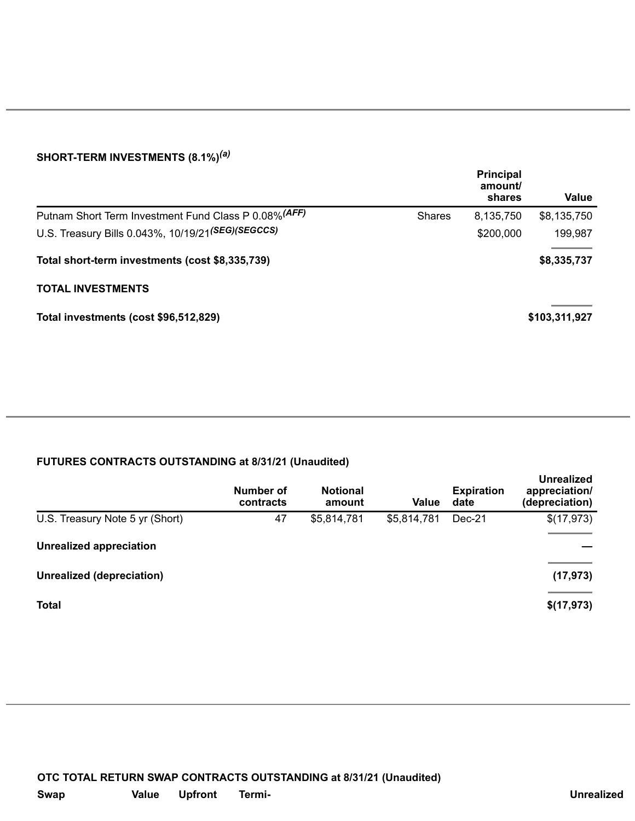#### **SHORT-TERM INVESTMENTS (8.1%)** *(a)*

|                                                       |               | <b>Principal</b><br>amount/<br>shares | <b>Value</b>  |
|-------------------------------------------------------|---------------|---------------------------------------|---------------|
| Putnam Short Term Investment Fund Class P 0.08% (AFF) | <b>Shares</b> | 8,135,750                             | \$8,135,750   |
| U.S. Treasury Bills 0.043%, 10/19/21(SEG)(SEGCCS)     |               | \$200,000                             | 199,987       |
| Total short-term investments (cost \$8,335,739)       |               |                                       | \$8,335,737   |
| <b>TOTAL INVESTMENTS</b>                              |               |                                       |               |
| Total investments (cost \$96,512,829)                 |               |                                       | \$103,311,927 |
|                                                       |               |                                       |               |

### **FUTURES CONTRACTS OUTSTANDING at 8/31/21 (Unaudited)**

|                                  | Number of<br>contracts | <b>Notional</b><br>amount | <b>Value</b> | <b>Expiration</b><br>date | <b>Unrealized</b><br>appreciation/<br>(depreciation) |
|----------------------------------|------------------------|---------------------------|--------------|---------------------------|------------------------------------------------------|
| U.S. Treasury Note 5 yr (Short)  | 47                     | \$5,814,781               | \$5,814,781  | Dec-21                    | \$(17,973)                                           |
| <b>Unrealized appreciation</b>   |                        |                           |              |                           |                                                      |
| <b>Unrealized (depreciation)</b> |                        |                           |              |                           | (17, 973)                                            |
| <b>Total</b>                     |                        |                           |              |                           | \$(17,973)                                           |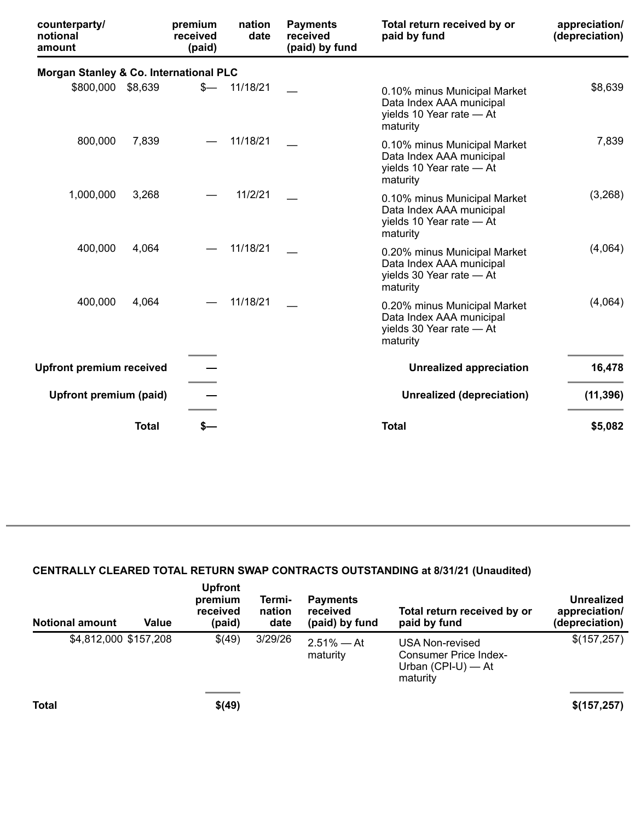| counterparty/<br>notional<br>amount    |              | premium<br>received<br>(paid) | nation<br>date | <b>Payments</b><br>received<br>(paid) by fund | Total return received by or<br>paid by fund                                                      | appreciation/<br>(depreciation) |
|----------------------------------------|--------------|-------------------------------|----------------|-----------------------------------------------|--------------------------------------------------------------------------------------------------|---------------------------------|
| Morgan Stanley & Co. International PLC |              |                               |                |                                               |                                                                                                  |                                 |
| \$800,000                              | \$8,639      | $s-$                          | 11/18/21       |                                               | 0.10% minus Municipal Market<br>Data Index AAA municipal<br>yields 10 Year rate - At<br>maturity | \$8,639                         |
| 800,000                                | 7,839        |                               | 11/18/21       |                                               | 0.10% minus Municipal Market<br>Data Index AAA municipal<br>yields 10 Year rate - At<br>maturity | 7,839                           |
| 1,000,000                              | 3,268        |                               | 11/2/21        |                                               | 0.10% minus Municipal Market<br>Data Index AAA municipal<br>yields 10 Year rate - At<br>maturity | (3,268)                         |
| 400,000                                | 4,064        |                               | 11/18/21       |                                               | 0.20% minus Municipal Market<br>Data Index AAA municipal<br>yields 30 Year rate - At<br>maturity | (4,064)                         |
| 400,000                                | 4,064        |                               | 11/18/21       |                                               | 0.20% minus Municipal Market<br>Data Index AAA municipal<br>yields 30 Year rate - At<br>maturity | (4,064)                         |
| <b>Upfront premium received</b>        |              |                               |                |                                               | <b>Unrealized appreciation</b>                                                                   | 16,478                          |
| Upfront premium (paid)                 |              |                               |                |                                               | <b>Unrealized (depreciation)</b>                                                                 | (11, 396)                       |
|                                        | <b>Total</b> | s—                            |                |                                               | <b>Total</b>                                                                                     | \$5,082                         |

## **CENTRALLY CLEARED TOTAL RETURN SWAP CONTRACTS OUTSTANDING at 8/31/21 (Unaudited)**

| <b>Notional amount</b> | Value | <b>Upfront</b><br>premium<br>received<br>(paid) | Termi-<br>nation<br>date | <b>Payments</b><br>received<br>(paid) by fund | Total return received by or<br>paid by fund                                  | <b>Unrealized</b><br>appreciation/<br>(depreciation) |
|------------------------|-------|-------------------------------------------------|--------------------------|-----------------------------------------------|------------------------------------------------------------------------------|------------------------------------------------------|
| \$4,812,000 \$157,208  |       | \$(49)                                          | 3/29/26                  | $2.51\% - At$<br>maturity                     | USA Non-revised<br>Consumer Price Index-<br>Urban $(CPI-U)$ — At<br>maturity | \$(157,257)                                          |
| <b>Total</b>           |       | \$(49)                                          |                          |                                               |                                                                              | \$(157, 257)                                         |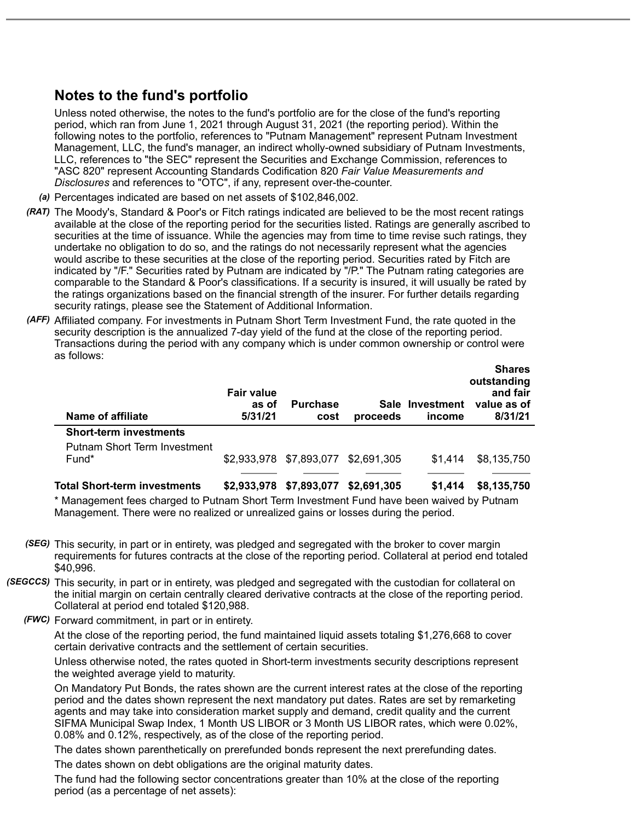# **Notes to the fund's portfolio**

Unless noted otherwise, the notes to the fund's portfolio are for the close of the fund's reporting period, which ran from June 1, 2021 through August 31, 2021 (the reporting period). Within the following notes to the portfolio, references to "Putnam Management" represent Putnam Investment Management, LLC, the fund's manager, an indirect wholly-owned subsidiary of Putnam Investments, LLC, references to "the SEC" represent the Securities and Exchange Commission, references to "ASC 820" represent Accounting Standards Codification 820 *Fair Value Measurements and Disclosures* and references to "OTC", if any, represent over-the-counter.

- *(a)* Percentages indicated are based on net assets of \$102,846,002.
- *(RAT)* The Moody's, Standard & Poor's or Fitch ratings indicated are believed to be the most recent ratings available at the close of the reporting period for the securities listed. Ratings are generally ascribed to securities at the time of issuance. While the agencies may from time to time revise such ratings, they undertake no obligation to do so, and the ratings do not necessarily represent what the agencies would ascribe to these securities at the close of the reporting period. Securities rated by Fitch are indicated by "/F." Securities rated by Putnam are indicated by "/P." The Putnam rating categories are comparable to the Standard & Poor's classifications. If a security is insured, it will usually be rated by the ratings organizations based on the financial strength of the insurer. For further details regarding security ratings, please see the Statement of Additional Information.
- *(AFF)* Affiliated company. For investments in Putnam Short Term Investment Fund, the rate quoted in the security description is the annualized 7-day yield of the fund at the close of the reporting period. Transactions during the period with any company which is under common ownership or control were as follows: **Shares**

| Name of affiliate                            | <b>Fair value</b><br>as of<br>5/31/21 | <b>Purchase</b><br>cost | proceeds    | Sale Investment<br>income | <b>Snares</b><br>outstanding<br>and fair<br>value as of<br>8/31/21 |
|----------------------------------------------|---------------------------------------|-------------------------|-------------|---------------------------|--------------------------------------------------------------------|
| <b>Short-term investments</b>                |                                       |                         |             |                           |                                                                    |
| <b>Putnam Short Term Investment</b><br>Fund* |                                       | \$2,933,978 \$7,893,077 | \$2,691,305 | \$1.414                   | \$8,135,750                                                        |
|                                              |                                       |                         |             |                           |                                                                    |
| <b>Total Short-term investments</b>          | \$2,933,978                           | \$7,893,077             | \$2,691,305 | \$1.414                   | \$8,135,750                                                        |

\* Management fees charged to Putnam Short Term Investment Fund have been waived by Putnam Management. There were no realized or unrealized gains or losses during the period.

- *(SEG)* This security, in part or in entirety, was pledged and segregated with the broker to cover margin requirements for futures contracts at the close of the reporting period. Collateral at period end totaled \$40,996.
- *(SEGCCS)* This security, in part or in entirety, was pledged and segregated with the custodian for collateral on the initial margin on certain centrally cleared derivative contracts at the close of the reporting period. Collateral at period end totaled \$120,988.
	- *(FWC)* Forward commitment, in part or in entirety.

At the close of the reporting period, the fund maintained liquid assets totaling \$1,276,668 to cover certain derivative contracts and the settlement of certain securities.

Unless otherwise noted, the rates quoted in Short-term investments security descriptions represent the weighted average yield to maturity.

On Mandatory Put Bonds, the rates shown are the current interest rates at the close of the reporting period and the dates shown represent the next mandatory put dates. Rates are set by remarketing agents and may take into consideration market supply and demand, credit quality and the current SIFMA Municipal Swap Index, 1 Month US LIBOR or 3 Month US LIBOR rates, which were 0.02%, 0.08% and 0.12%, respectively, as of the close of the reporting period.

The dates shown parenthetically on prerefunded bonds represent the next prerefunding dates.

The dates shown on debt obligations are the original maturity dates.

The fund had the following sector concentrations greater than 10% at the close of the reporting period (as a percentage of net assets):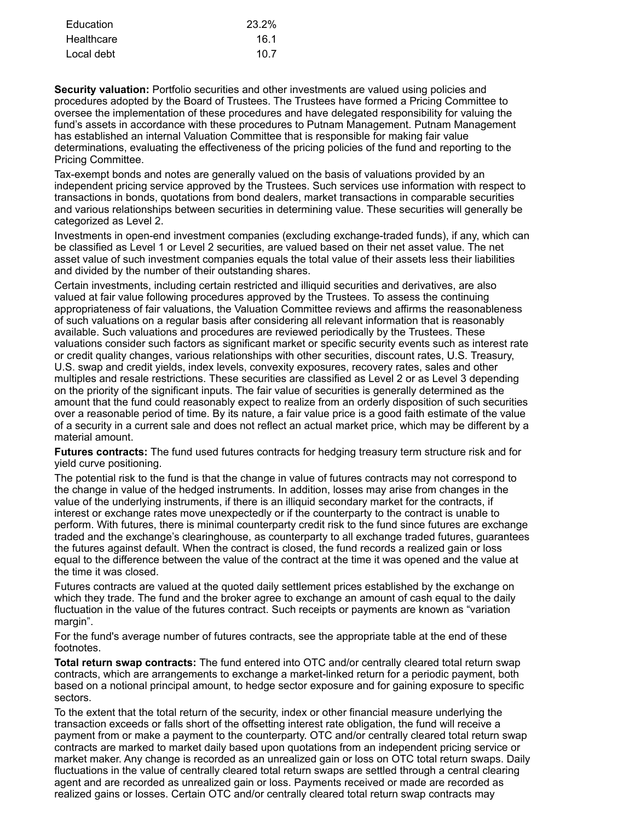| Education  | 23.2% |
|------------|-------|
| Healthcare | 16.1  |
| Local debt | 10.7  |

**Security valuation:** Portfolio securities and other investments are valued using policies and procedures adopted by the Board of Trustees. The Trustees have formed a Pricing Committee to oversee the implementation of these procedures and have delegated responsibility for valuing the fund's assets in accordance with these procedures to Putnam Management. Putnam Management has established an internal Valuation Committee that is responsible for making fair value determinations, evaluating the effectiveness of the pricing policies of the fund and reporting to the Pricing Committee.

Tax-exempt bonds and notes are generally valued on the basis of valuations provided by an independent pricing service approved by the Trustees. Such services use information with respect to transactions in bonds, quotations from bond dealers, market transactions in comparable securities and various relationships between securities in determining value. These securities will generally be categorized as Level 2.

Investments in open-end investment companies (excluding exchange-traded funds), if any, which can be classified as Level 1 or Level 2 securities, are valued based on their net asset value. The net asset value of such investment companies equals the total value of their assets less their liabilities and divided by the number of their outstanding shares.

Certain investments, including certain restricted and illiquid securities and derivatives, are also valued at fair value following procedures approved by the Trustees. To assess the continuing appropriateness of fair valuations, the Valuation Committee reviews and affirms the reasonableness of such valuations on a regular basis after considering all relevant information that is reasonably available. Such valuations and procedures are reviewed periodically by the Trustees. These valuations consider such factors as significant market or specific security events such as interest rate or credit quality changes, various relationships with other securities, discount rates, U.S. Treasury, U.S. swap and credit yields, index levels, convexity exposures, recovery rates, sales and other multiples and resale restrictions. These securities are classified as Level 2 or as Level 3 depending on the priority of the significant inputs. The fair value of securities is generally determined as the amount that the fund could reasonably expect to realize from an orderly disposition of such securities over a reasonable period of time. By its nature, a fair value price is a good faith estimate of the value of a security in a current sale and does not reflect an actual market price, which may be different by a material amount.

**Futures contracts:** The fund used futures contracts for hedging treasury term structure risk and for yield curve positioning.

The potential risk to the fund is that the change in value of futures contracts may not correspond to the change in value of the hedged instruments. In addition, losses may arise from changes in the value of the underlying instruments, if there is an illiquid secondary market for the contracts, if interest or exchange rates move unexpectedly or if the counterparty to the contract is unable to perform. With futures, there is minimal counterparty credit risk to the fund since futures are exchange traded and the exchange's clearinghouse, as counterparty to all exchange traded futures, guarantees the futures against default. When the contract is closed, the fund records a realized gain or loss equal to the difference between the value of the contract at the time it was opened and the value at the time it was closed.

Futures contracts are valued at the quoted daily settlement prices established by the exchange on which they trade. The fund and the broker agree to exchange an amount of cash equal to the daily fluctuation in the value of the futures contract. Such receipts or payments are known as "variation margin".

For the fund's average number of futures contracts, see the appropriate table at the end of these footnotes.

**Total return swap contracts:** The fund entered into OTC and/or centrally cleared total return swap contracts, which are arrangements to exchange a market-linked return for a periodic payment, both based on a notional principal amount, to hedge sector exposure and for gaining exposure to specific sectors.

To the extent that the total return of the security, index or other financial measure underlying the transaction exceeds or falls short of the offsetting interest rate obligation, the fund will receive a payment from or make a payment to the counterparty. OTC and/or centrally cleared total return swap contracts are marked to market daily based upon quotations from an independent pricing service or market maker. Any change is recorded as an unrealized gain or loss on OTC total return swaps. Daily fluctuations in the value of centrally cleared total return swaps are settled through a central clearing agent and are recorded as unrealized gain or loss. Payments received or made are recorded as realized gains or losses. Certain OTC and/or centrally cleared total return swap contracts may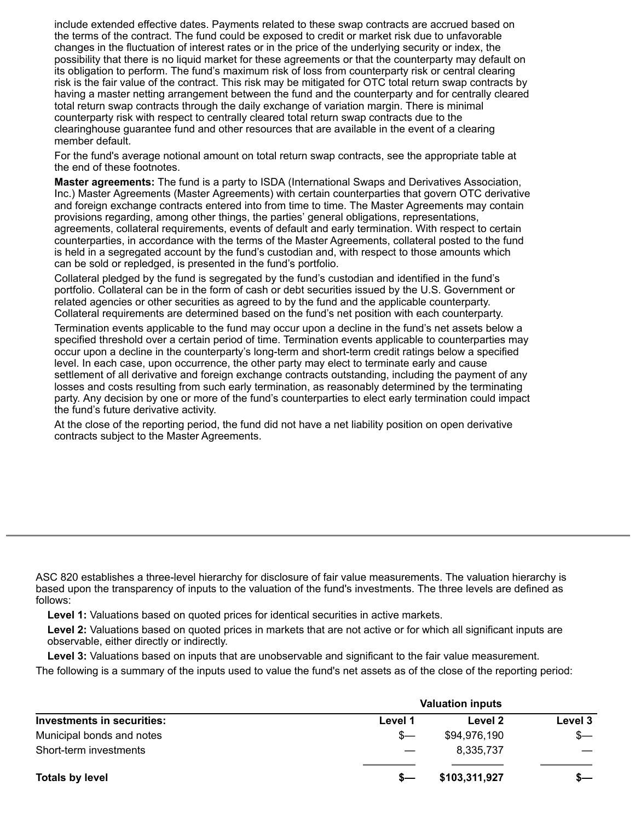include extended effective dates. Payments related to these swap contracts are accrued based on the terms of the contract. The fund could be exposed to credit or market risk due to unfavorable changes in the fluctuation of interest rates or in the price of the underlying security or index, the possibility that there is no liquid market for these agreements or that the counterparty may default on its obligation to perform. The fund's maximum risk of loss from counterparty risk or central clearing risk is the fair value of the contract. This risk may be mitigated for OTC total return swap contracts by having a master netting arrangement between the fund and the counterparty and for centrally cleared total return swap contracts through the daily exchange of variation margin. There is minimal counterparty risk with respect to centrally cleared total return swap contracts due to the clearinghouse guarantee fund and other resources that are available in the event of a clearing member default.

For the fund's average notional amount on total return swap contracts, see the appropriate table at the end of these footnotes.

**Master agreements:** The fund is a party to ISDA (International Swaps and Derivatives Association, Inc.) Master Agreements (Master Agreements) with certain counterparties that govern OTC derivative and foreign exchange contracts entered into from time to time. The Master Agreements may contain provisions regarding, among other things, the parties' general obligations, representations, agreements, collateral requirements, events of default and early termination. With respect to certain counterparties, in accordance with the terms of the Master Agreements, collateral posted to the fund is held in a segregated account by the fund's custodian and, with respect to those amounts which can be sold or repledged, is presented in the fund's portfolio.

Collateral pledged by the fund is segregated by the fund's custodian and identified in the fund's portfolio. Collateral can be in the form of cash or debt securities issued by the U.S. Government or related agencies or other securities as agreed to by the fund and the applicable counterparty. Collateral requirements are determined based on the fund's net position with each counterparty.

Termination events applicable to the fund may occur upon a decline in the fund's net assets below a specified threshold over a certain period of time. Termination events applicable to counterparties may occur upon a decline in the counterparty's long-term and short-term credit ratings below a specified level. In each case, upon occurrence, the other party may elect to terminate early and cause settlement of all derivative and foreign exchange contracts outstanding, including the payment of any losses and costs resulting from such early termination, as reasonably determined by the terminating party. Any decision by one or more of the fund's counterparties to elect early termination could impact the fund's future derivative activity.

At the close of the reporting period, the fund did not have a net liability position on open derivative contracts subject to the Master Agreements.

ASC 820 establishes a three-level hierarchy for disclosure of fair value measurements. The valuation hierarchy is based upon the transparency of inputs to the valuation of the fund's investments. The three levels are defined as follows:

**Level 1:** Valuations based on quoted prices for identical securities in active markets.

**Level 2:** Valuations based on quoted prices in markets that are not active or for which all significant inputs are observable, either directly or indirectly.

**Level 3:** Valuations based on inputs that are unobservable and significant to the fair value measurement.

The following is a summary of the inputs used to value the fund's net assets as of the close of the reporting period:

|                                   | <b>Valuation inputs</b> |               |         |  |
|-----------------------------------|-------------------------|---------------|---------|--|
| <b>Investments in securities:</b> | Level 1                 | Level 2       | Level 3 |  |
| Municipal bonds and notes         | $S-$                    | \$94,976,190  | $s-$    |  |
| Short-term investments            |                         | 8,335,737     |         |  |
| <b>Totals by level</b>            | s—                      | \$103,311,927 | $s-$    |  |